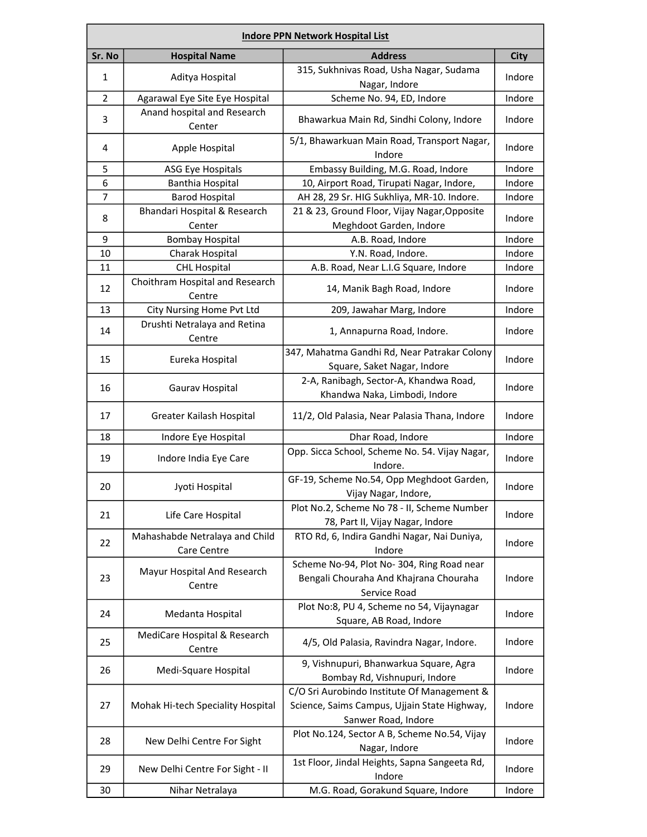| <b>Indore PPN Network Hospital List</b> |                                               |                                                                                                                    |             |  |
|-----------------------------------------|-----------------------------------------------|--------------------------------------------------------------------------------------------------------------------|-------------|--|
| Sr. No                                  | <b>Hospital Name</b>                          | <b>Address</b>                                                                                                     | <b>City</b> |  |
| $\mathbf{1}$                            | Aditya Hospital                               | 315, Sukhnivas Road, Usha Nagar, Sudama                                                                            | Indore      |  |
|                                         |                                               | Nagar, Indore                                                                                                      |             |  |
| $\overline{2}$                          | Agarawal Eye Site Eye Hospital                | Scheme No. 94, ED, Indore                                                                                          | Indore      |  |
| 3                                       | Anand hospital and Research<br>Center         | Bhawarkua Main Rd, Sindhi Colony, Indore                                                                           | Indore      |  |
| 4                                       | Apple Hospital                                | 5/1, Bhawarkuan Main Road, Transport Nagar,<br>Indore                                                              | Indore      |  |
| 5                                       | <b>ASG Eye Hospitals</b>                      | Embassy Building, M.G. Road, Indore                                                                                | Indore      |  |
| 6                                       | <b>Banthia Hospital</b>                       | 10, Airport Road, Tirupati Nagar, Indore,                                                                          | Indore      |  |
| 7                                       | <b>Barod Hospital</b>                         | AH 28, 29 Sr. HIG Sukhliya, MR-10. Indore.                                                                         | Indore      |  |
| 8                                       | Bhandari Hospital & Research<br>Center        | 21 & 23, Ground Floor, Vijay Nagar, Opposite<br>Meghdoot Garden, Indore                                            | Indore      |  |
| 9                                       | <b>Bombay Hospital</b>                        | A.B. Road, Indore                                                                                                  | Indore      |  |
| 10                                      | Charak Hospital                               | Y.N. Road, Indore.                                                                                                 | Indore      |  |
| 11                                      | <b>CHL Hospital</b>                           | A.B. Road, Near L.I.G Square, Indore                                                                               | Indore      |  |
|                                         | Choithram Hospital and Research               |                                                                                                                    |             |  |
| 12                                      | Centre                                        | 14, Manik Bagh Road, Indore                                                                                        | Indore      |  |
| 13                                      | City Nursing Home Pvt Ltd                     | 209, Jawahar Marg, Indore                                                                                          | Indore      |  |
| 14                                      | Drushti Netralaya and Retina<br>Centre        | 1, Annapurna Road, Indore.                                                                                         | Indore      |  |
| 15                                      | Eureka Hospital                               | 347, Mahatma Gandhi Rd, Near Patrakar Colony<br>Square, Saket Nagar, Indore                                        | Indore      |  |
| 16                                      | Gaurav Hospital                               | 2-A, Ranibagh, Sector-A, Khandwa Road,                                                                             | Indore      |  |
|                                         |                                               | Khandwa Naka, Limbodi, Indore                                                                                      |             |  |
| 17                                      | Greater Kailash Hospital                      | 11/2, Old Palasia, Near Palasia Thana, Indore                                                                      | Indore      |  |
| 18                                      | Indore Eye Hospital                           | Dhar Road, Indore                                                                                                  | Indore      |  |
| 19                                      | Indore India Eye Care                         | Opp. Sicca School, Scheme No. 54. Vijay Nagar,<br>Indore.                                                          | Indore      |  |
| 20                                      | Jyoti Hospital                                | GF-19, Scheme No.54, Opp Meghdoot Garden,<br>Vijay Nagar, Indore,                                                  | Indore      |  |
| 21                                      | Life Care Hospital                            | Plot No.2, Scheme No 78 - II, Scheme Number<br>78, Part II, Vijay Nagar, Indore                                    | Indore      |  |
| 22                                      | Mahashabde Netralaya and Child<br>Care Centre | RTO Rd, 6, Indira Gandhi Nagar, Nai Duniya,<br>Indore                                                              | Indore      |  |
| 23                                      | Mayur Hospital And Research<br>Centre         | Scheme No-94, Plot No-304, Ring Road near<br>Bengali Chouraha And Khajrana Chouraha<br>Service Road                | Indore      |  |
| 24                                      | Medanta Hospital                              | Plot No:8, PU 4, Scheme no 54, Vijaynagar<br>Square, AB Road, Indore                                               | Indore      |  |
| 25                                      | MediCare Hospital & Research<br>Centre        | 4/5, Old Palasia, Ravindra Nagar, Indore.                                                                          | Indore      |  |
| 26                                      | Medi-Square Hospital                          | 9, Vishnupuri, Bhanwarkua Square, Agra<br>Bombay Rd, Vishnupuri, Indore                                            | Indore      |  |
| 27                                      | Mohak Hi-tech Speciality Hospital             | C/O Sri Aurobindo Institute Of Management &<br>Science, Saims Campus, Ujjain State Highway,<br>Sanwer Road, Indore | Indore      |  |
| 28                                      | New Delhi Centre For Sight                    | Plot No.124, Sector A B, Scheme No.54, Vijay<br>Nagar, Indore                                                      | Indore      |  |
| 29                                      | New Delhi Centre For Sight - II               | 1st Floor, Jindal Heights, Sapna Sangeeta Rd,<br>Indore                                                            | Indore      |  |
| 30                                      | Nihar Netralaya                               | M.G. Road, Gorakund Square, Indore                                                                                 | Indore      |  |